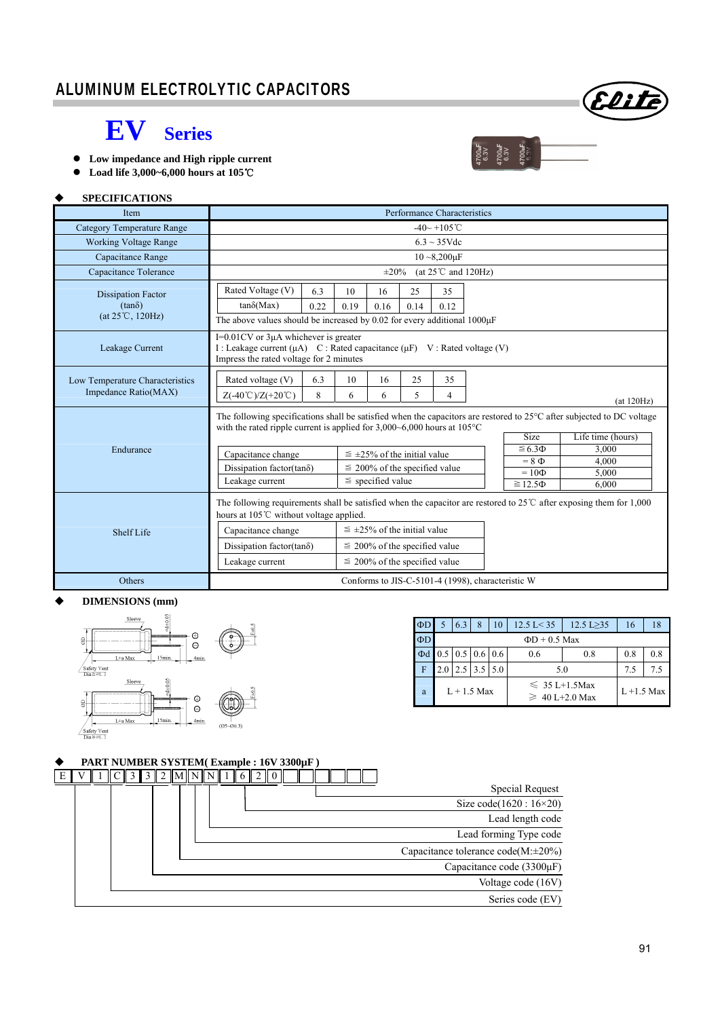

 $700 \text{mF}$ <br> $6.3 \text{V}$ <br> $700 \text{mF}$ <br> $6.3 \text{V}$ 

 $00\text{uF}$ 

## **EV Series**

- **Low impedance and High ripple current**
- **Load life 3,000~6,000 hours at 105**℃

## **SPECIFICATIONS**

| Item                                                    | Performance Characteristics                                                                                                                                                                                                                          |          |                                    |         |         |         |  |                               |                |
|---------------------------------------------------------|------------------------------------------------------------------------------------------------------------------------------------------------------------------------------------------------------------------------------------------------------|----------|------------------------------------|---------|---------|---------|--|-------------------------------|----------------|
| Category Temperature Range                              | $-40 - +105$ °C                                                                                                                                                                                                                                      |          |                                    |         |         |         |  |                               |                |
| <b>Working Voltage Range</b>                            | $6.3 \sim 35 \text{V}$ dc                                                                                                                                                                                                                            |          |                                    |         |         |         |  |                               |                |
| Capacitance Range                                       | $10 - 8,200 \mu F$                                                                                                                                                                                                                                   |          |                                    |         |         |         |  |                               |                |
| Capacitance Tolerance                                   | (at $25^{\circ}$ C and $120\text{Hz}$ )<br>$\pm 20\%$                                                                                                                                                                                                |          |                                    |         |         |         |  |                               |                |
| <b>Dissipation Factor</b>                               | Rated Voltage (V)                                                                                                                                                                                                                                    | 6.3      | 10                                 | 16      | 25      | 35      |  |                               |                |
| $(tan\delta)$                                           | $tan\delta(Max)$                                                                                                                                                                                                                                     | 0.22     | 0.19                               | 0.16    | 0.14    | 0.12    |  |                               |                |
| $(at 25^{\circ}C, 120Hz)$                               | The above values should be increased by 0.02 for every additional 1000 $\mu$ F                                                                                                                                                                       |          |                                    |         |         |         |  |                               |                |
| Leakage Current                                         | $I=0.01$ CV or $3\mu A$ whichever is greater<br>I : Leakage current (µA) C : Rated capacitance (µF) V : Rated voltage (V)<br>Impress the rated voltage for 2 minutes                                                                                 |          |                                    |         |         |         |  |                               |                |
| Low Temperature Characteristics<br>Impedance Ratio(MAX) | Rated voltage (V)<br>$Z(-40^{\circ}\text{C})/Z(+20^{\circ}\text{C})$                                                                                                                                                                                 | 6.3<br>8 | 10<br>6                            | 16<br>6 | 25<br>5 | 35<br>4 |  |                               | (at 120Hz)     |
|                                                         | The following specifications shall be satisfied when the capacitors are restored to $25^{\circ}$ C after subjected to DC voltage<br>with the rated ripple current is applied for $3,000-6,000$ hours at $105^{\circ}$ C<br>Size<br>Life time (hours) |          |                                    |         |         |         |  |                               |                |
| Endurance                                               | Capacitance change                                                                                                                                                                                                                                   |          | $\leq$ ±25% of the initial value   |         |         |         |  | $\leq 6.3 \Phi$<br>$= 8 \Phi$ | 3,000<br>4.000 |
|                                                         | Dissipation factor(tan $\delta$ )                                                                                                                                                                                                                    |          | $\leq$ 200% of the specified value |         |         |         |  | $=10\Phi$                     | 5.000          |
|                                                         | $\le$ specified value<br>Leakage current<br>$\geq 12.5\Phi$<br>6,000                                                                                                                                                                                 |          |                                    |         |         |         |  |                               |                |
|                                                         | The following requirements shall be satisfied when the capacitor are restored to $25^{\circ}$ after exposing them for 1,000<br>hours at 105°C without voltage applied.                                                                               |          |                                    |         |         |         |  |                               |                |
| Shelf Life                                              | Capacitance change                                                                                                                                                                                                                                   |          | $\leq$ ±25% of the initial value   |         |         |         |  |                               |                |
|                                                         | Dissipation factor(tan $\delta$ )                                                                                                                                                                                                                    |          | $\leq$ 200% of the specified value |         |         |         |  |                               |                |
|                                                         | Leakage current<br>$\leq$ 200% of the specified value                                                                                                                                                                                                |          |                                    |         |         |         |  |                               |                |
| Others                                                  | Conforms to JIS-C-5101-4 (1998), characteristic W                                                                                                                                                                                                    |          |                                    |         |         |         |  |                               |                |

#### **DIMENSIONS (mm)**



| $\Phi$ D |     | 6.3 | 8                                         | 10 | $12.5 \text{ L} < 35$                     | 12.5 L $\geq$ 35 | 16            | 18  |
|----------|-----|-----|-------------------------------------------|----|-------------------------------------------|------------------|---------------|-----|
| $\Phi D$ |     |     |                                           |    | $\Phi$ D + 0.5 Max                        |                  |               |     |
| $\Phi$ d |     |     | $0.5 \,   \, 0.5 \,   \, 0.6 \,   \, 0.6$ |    | 0.6<br>0.8                                |                  | 0.8           | 0.8 |
|          | 2.0 |     | $2.5$ 3.5 5.0                             |    | 5.0                                       | 7.5              |               |     |
| a        |     |     | $L+1.5$ Max                               |    | $\leq 35$ L+1.5Max<br>$\geq 40$ L+2.0 Max |                  | $L + 1.5$ Max |     |

### **PART NUMBER SYSTEM( Example : 16V 3300µF )**

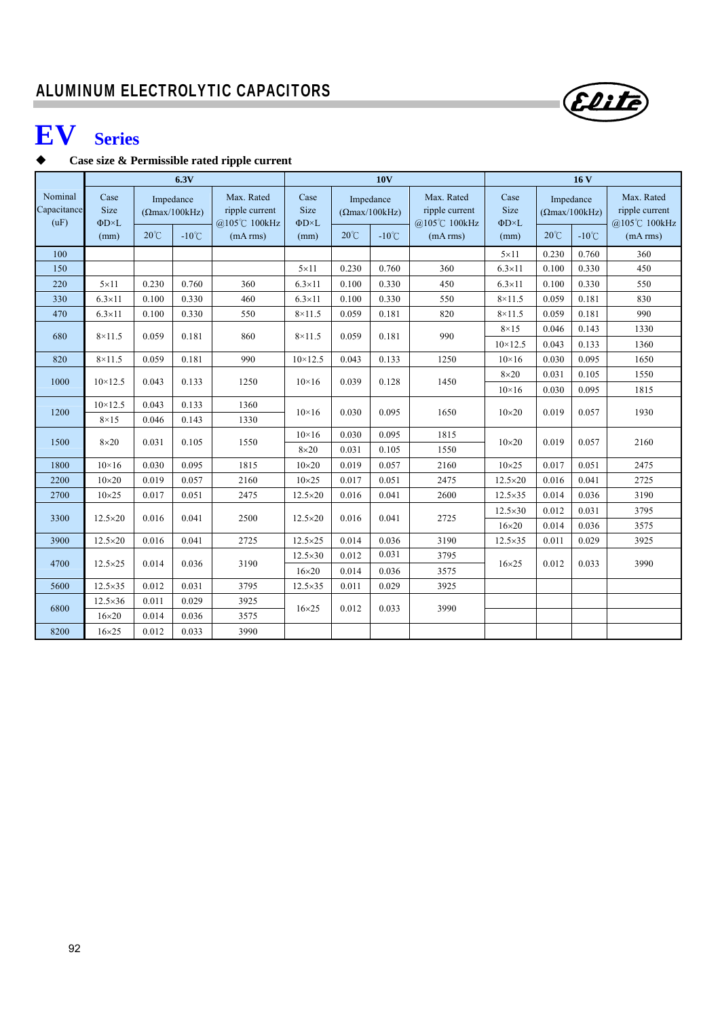# **EV Series**

## **Case size & Permissible rated ripple current**

|                                |                                             |                                                      | 6.3V            |                                                          |                                           |                |                                                       | 16V                                                      |                                             |                                                      |                 |                                                          |
|--------------------------------|---------------------------------------------|------------------------------------------------------|-----------------|----------------------------------------------------------|-------------------------------------------|----------------|-------------------------------------------------------|----------------------------------------------------------|---------------------------------------------|------------------------------------------------------|-----------------|----------------------------------------------------------|
| Nominal<br>Capacitance<br>(uF) | Case<br>Size<br>$\Phi$ D $\times$ L<br>(mm) | Impedance<br>$(\Omega$ max/100kHz)<br>$20^{\circ}$ C | $-10^{\circ}$ C | Max. Rated<br>ripple current<br>@105℃ 100kHz<br>(mA rms) | Case<br>Size<br>$\Phi D \times L$<br>(mm) | $20^{\circ}$ C | Impedance<br>$(\Omega$ max/100kHz)<br>$-10^{\circ}$ C | Max. Rated<br>ripple current<br>@105℃ 100kHz<br>(mA rms) | Case<br>Size<br>$\Phi$ D $\times$ L<br>(mm) | Impedance<br>$(\Omega$ max/100kHz)<br>$20^{\circ}$ C | $-10^{\circ}$ C | Max. Rated<br>ripple current<br>@105℃ 100kHz<br>(mA rms) |
| 100                            |                                             |                                                      |                 |                                                          |                                           |                |                                                       |                                                          | $5 \times 11$                               | 0.230                                                | 0.760           | 360                                                      |
| 150                            |                                             |                                                      |                 |                                                          | $5 \times 11$                             | 0.230          | 0.760                                                 | 360                                                      | $6.3\times11$                               | 0.100                                                | 0.330           | 450                                                      |
| 220                            | $5 \times 11$                               | 0.230                                                | 0.760           | 360                                                      | $6.3\times11$                             | 0.100          | 0.330                                                 | 450                                                      | $6.3\times11$                               | 0.100                                                | 0.330           | 550                                                      |
| 330                            | $6.3 \times 11$                             | 0.100                                                | 0.330           | 460                                                      | $6.3 \times 11$                           | 0.100          | 0.330                                                 | 550                                                      | $8\times11.5$                               | 0.059                                                | 0.181           | 830                                                      |
| 470                            | $6.3\times11$                               | 0.100                                                | 0.330           | 550                                                      | $8\times11.5$                             | 0.059          | 0.181                                                 | 820                                                      | $8\times11.5$                               | 0.059                                                | 0.181           | 990                                                      |
| 680                            | $8\times11.5$                               | 0.059                                                | 0.181           | 860                                                      | $8\times11.5$                             | 0.059          | 0.181                                                 | 990                                                      | $8\times15$                                 | 0.046                                                | 0.143           | 1330                                                     |
|                                |                                             |                                                      |                 |                                                          |                                           |                |                                                       |                                                          | $10 \times 12.5$                            | 0.043                                                | 0.133           | 1360                                                     |
| 820                            | $8\times11.5$                               | 0.059                                                | 0.181           | 990                                                      | $10 \times 12.5$                          | 0.043          | 0.133                                                 | 1250                                                     | $10\times16$                                | 0.030                                                | 0.095           | 1650                                                     |
| 1000                           | $10 \times 12.5$                            | 0.043                                                | 0.133           | 1250                                                     | $10\times 16$                             | 0.039          | 0.128                                                 | 1450                                                     | $8\times20$                                 | 0.031                                                | 0.105           | 1550                                                     |
|                                |                                             |                                                      |                 |                                                          |                                           |                |                                                       |                                                          | $10\times16$                                | 0.030                                                | 0.095           | 1815                                                     |
| 1200                           | $10 \times 12.5$                            | 0.043                                                | 0.133           | 1360                                                     | $10\times 16$                             | 0.030          | 0.095                                                 | 1650                                                     |                                             | 0.019                                                | 0.057           | 1930                                                     |
|                                | $8\times15$                                 | 0.046                                                | 0.143           | 1330                                                     |                                           |                |                                                       |                                                          |                                             |                                                      |                 |                                                          |
| 1500                           | $8\times20$                                 | 0.031                                                | 0.105           | 1550                                                     | $10\times16$                              | 0.030          | 0.095                                                 | 1815                                                     | $10\times20$<br>$10\times20$                | 0.019                                                | 0.057           | 2160                                                     |
|                                |                                             |                                                      |                 |                                                          | $8\times20$                               | 0.031          | 0.105                                                 | 1550                                                     |                                             |                                                      |                 |                                                          |
| 1800                           | $10\times16$                                | 0.030                                                | 0.095           | 1815                                                     | $10\times20$                              | 0.019          | 0.057                                                 | 2160                                                     | $10\times25$                                | 0.017                                                | 0.051           | 2475                                                     |
| 2200                           | $10\times20$                                | 0.019                                                | 0.057           | 2160                                                     | $10\times25$                              | 0.017          | 0.051                                                 | 2475                                                     | $12.5 \times 20$                            | 0.016                                                | 0.041           | 2725                                                     |
| 2700                           | $10\times25$                                | 0.017                                                | 0.051           | 2475                                                     | 12.5×20                                   | 0.016          | 0.041                                                 | 2600                                                     | $12.5\times35$                              | 0.014                                                | 0.036           | 3190                                                     |
| 3300                           | $12.5 \times 20$                            |                                                      | 0.041<br>0.016  | 2500                                                     | $12.5 \times 20$                          | 0.016          | 0.041                                                 | 2725                                                     | $12.5 \times 30$                            | 0.012                                                | 0.031           | 3795                                                     |
|                                |                                             |                                                      |                 |                                                          |                                           |                |                                                       |                                                          | $16\times20$                                | 0.014                                                | 0.036           | 3575                                                     |
| 3900                           | $12.5 \times 20$                            | 0.016                                                | 0.041           | 2725                                                     | $12.5 \times 25$                          | 0.014          | 0.036                                                 | 3190                                                     | $12.5 \times 35$                            | 0.011                                                | 0.029           | 3925                                                     |
| 4700                           | $12.5 \times 25$                            | 0.014                                                | 0.036           | 3190                                                     | $12.5 \times 30$                          | 0.012          | 0.031                                                 | 3795                                                     | $16\times25$                                | 0.012                                                | 0.033           | 3990                                                     |
|                                |                                             |                                                      |                 |                                                          | $16\times20$                              | 0.014          | 0.036                                                 | 3575                                                     |                                             |                                                      |                 |                                                          |
| 5600                           | $12.5 \times 35$                            | 0.012                                                | 0.031           | 3795                                                     | $12.5 \times 35$                          | 0.011          | 0.029                                                 | 3925                                                     |                                             |                                                      |                 |                                                          |
| 6800                           | $12.5\times36$                              | 0.011                                                | 0.029           | 3925                                                     | $16\times25$                              | 0.012          | 0.033                                                 | 3990                                                     |                                             |                                                      |                 |                                                          |
|                                | $16\times20$                                | 0.014                                                | 0.036           | 3575                                                     |                                           |                |                                                       |                                                          |                                             |                                                      |                 |                                                          |
| 8200                           | $16\times25$                                | 0.012                                                | 0.033           | 3990                                                     |                                           |                |                                                       |                                                          |                                             |                                                      |                 |                                                          |

Elite